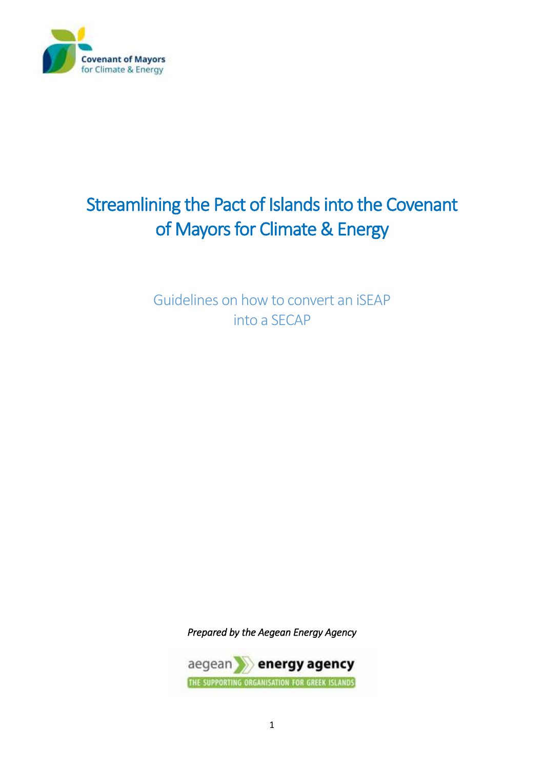

# Streamlining the Pact of Islands into the Covenant of Mayors for Climate & Energy

Guidelines on how to convert an iSEAP into a SECAP

*Prepared by the Aegean Energy Agency* 

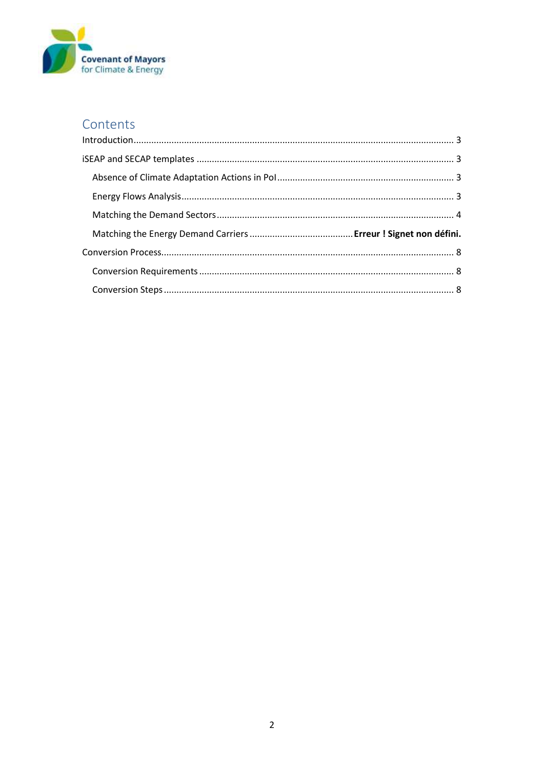

# Contents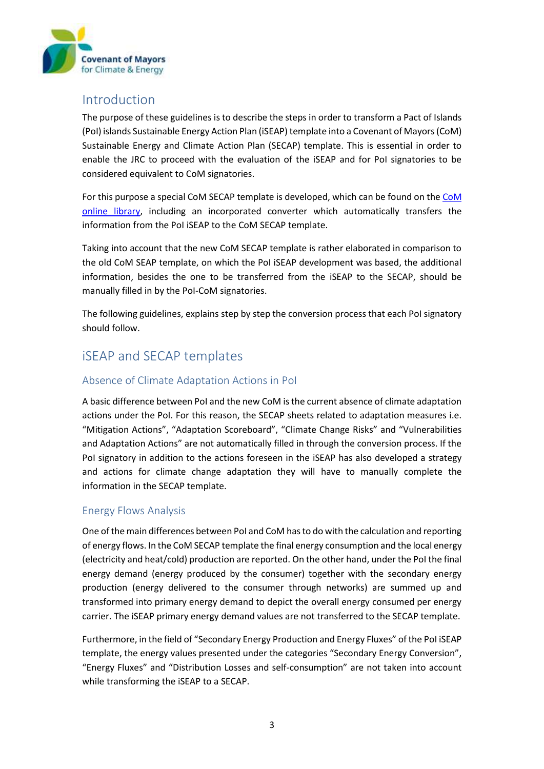

# <span id="page-2-0"></span>Introduction

The purpose of these guidelines is to describe the steps in order to transform a Pact of Islands (PoI) islands Sustainable Energy Action Plan (iSEAP) template into a Covenant of Mayors (CoM) Sustainable Energy and Climate Action Plan (SECAP) template. This is essential in order to enable the JRC to proceed with the evaluation of the iSEAP and for PoI signatories to be considered equivalent to CoM signatories.

For this purpose a special CoM SECAP template is developed, which can be found on th[e CoM](http://www.eumayors.eu/Covenant-technical-materials.html)  [online library,](http://www.eumayors.eu/Covenant-technical-materials.html) including an incorporated converter which automatically transfers the information from the PoI iSEAP to the CoM SECAP template.

Taking into account that the new CoM SECAP template is rather elaborated in comparison to the old CoM SEAP template, on which the PoI iSEAP development was based, the additional information, besides the one to be transferred from the iSEAP to the SECAP, should be manually filled in by the PoI-CoM signatories.

The following guidelines, explains step by step the conversion process that each PoI signatory should follow.

# <span id="page-2-1"></span>iSEAP and SECAP templates

## <span id="page-2-2"></span>Absence of Climate Adaptation Actions in PoI

A basic difference between PoI and the new CoM is the current absence of climate adaptation actions under the PoI. For this reason, the SECAP sheets related to adaptation measures i.e. "Mitigation Actions", "Adaptation Scoreboard", "Climate Change Risks" and "Vulnerabilities and Adaptation Actions" are not automatically filled in through the conversion process. If the PoI signatory in addition to the actions foreseen in the iSEAP has also developed a strategy and actions for climate change adaptation they will have to manually complete the information in the SECAP template.

### <span id="page-2-3"></span>Energy Flows Analysis

One of the main differences between PoI and CoM has to do with the calculation and reporting of energy flows. In the CoM SECAP template the final energy consumption and the local energy (electricity and heat/cold) production are reported. On the other hand, under the PoI the final energy demand (energy produced by the consumer) together with the secondary energy production (energy delivered to the consumer through networks) are summed up and transformed into primary energy demand to depict the overall energy consumed per energy carrier. The iSEAP primary energy demand values are not transferred to the SECAP template.

Furthermore, in the field of "Secondary Energy Production and Energy Fluxes" of the PoI iSEAP template, the energy values presented under the categories "Secondary Energy Conversion", "Energy Fluxes" and "Distribution Losses and self-consumption" are not taken into account while transforming the iSEAP to a SECAP.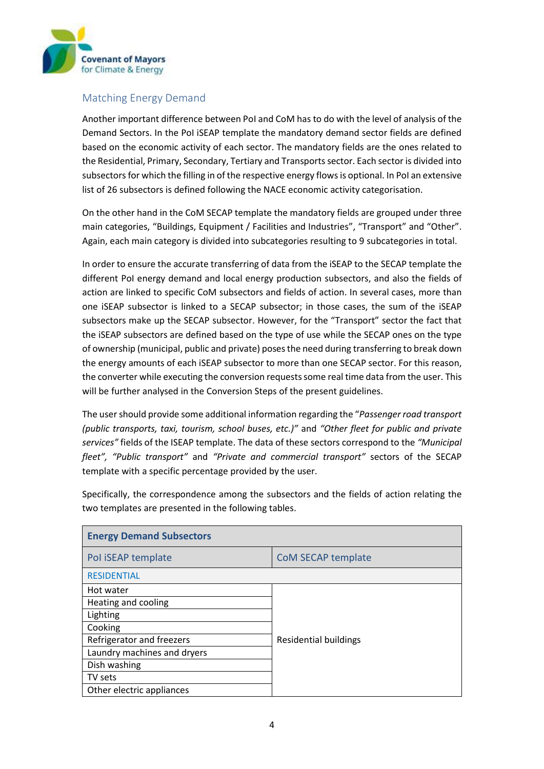

## <span id="page-3-0"></span>Matching Energy Demand

Another important difference between PoI and CoM has to do with the level of analysis of the Demand Sectors. In the PoI iSEAP template the mandatory demand sector fields are defined based on the economic activity of each sector. The mandatory fields are the ones related to the Residential, Primary, Secondary, Tertiary and Transports sector. Each sector is divided into subsectors for which the filling in of the respective energy flows is optional. In PoI an extensive list of 26 subsectors is defined following the NACE economic activity categorisation.

On the other hand in the CoM SECAP template the mandatory fields are grouped under three main categories, "Buildings, Equipment / Facilities and Industries", "Transport" and "Other". Again, each main category is divided into subcategories resulting to 9 subcategories in total.

In order to ensure the accurate transferring of data from the iSEAP to the SECAP template the different PoI energy demand and local energy production subsectors, and also the fields of action are linked to specific CoM subsectors and fields of action. In several cases, more than one iSEAP subsector is linked to a SECAP subsector; in those cases, the sum of the iSEAP subsectors make up the SECAP subsector. However, for the "Transport" sector the fact that the iSEAP subsectors are defined based on the type of use while the SECAP ones on the type of ownership (municipal, public and private) poses the need during transferring to break down the energy amounts of each iSEAP subsector to more than one SECAP sector. For this reason, the converter while executing the conversion requests some real time data from the user. This will be further analysed in the Conversion Steps of the present guidelines.

The user should provide some additional information regarding the "*Passenger road transport (public transports, taxi, tourism, school buses, etc.)"* and *"Other fleet for public and private services"* fields of the ISEAP template. The data of these sectors correspond to the *"Municipal fleet", "Public transport"* and *"Private and commercial transport"* sectors of the SECAP template with a specific percentage provided by the user.

Specifically, the correspondence among the subsectors and the fields of action relating the two templates are presented in the following tables.

| <b>Energy Demand Subsectors</b> |                              |  |
|---------------------------------|------------------------------|--|
| Pol iSEAP template              | <b>CoM SECAP template</b>    |  |
| <b>RESIDENTIAL</b>              |                              |  |
| Hot water                       |                              |  |
| Heating and cooling             |                              |  |
| Lighting                        |                              |  |
| Cooking                         |                              |  |
| Refrigerator and freezers       | <b>Residential buildings</b> |  |
| Laundry machines and dryers     |                              |  |
| Dish washing                    |                              |  |
| TV sets                         |                              |  |
| Other electric appliances       |                              |  |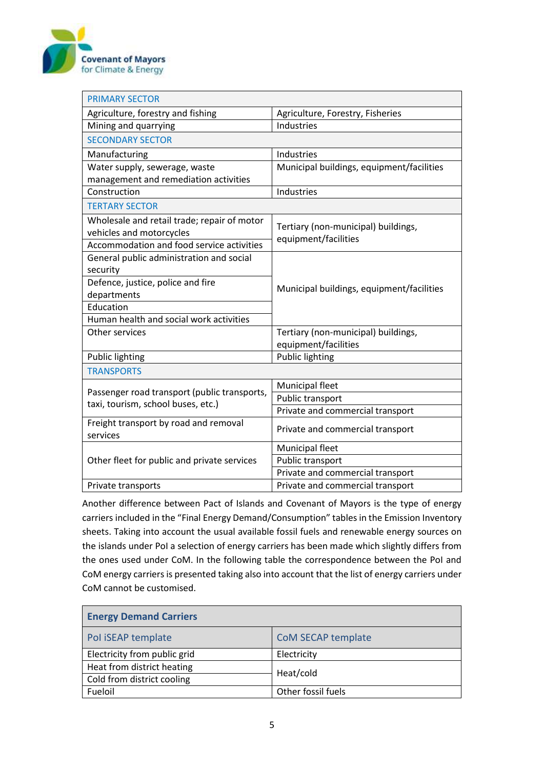

| <b>PRIMARY SECTOR</b>                                                              |                                           |  |
|------------------------------------------------------------------------------------|-------------------------------------------|--|
| Agriculture, forestry and fishing                                                  | Agriculture, Forestry, Fisheries          |  |
| Mining and quarrying                                                               | Industries                                |  |
| <b>SECONDARY SECTOR</b>                                                            |                                           |  |
| Manufacturing                                                                      | Industries                                |  |
| Water supply, sewerage, waste                                                      | Municipal buildings, equipment/facilities |  |
| management and remediation activities                                              |                                           |  |
| Construction                                                                       | Industries                                |  |
| <b>TERTARY SECTOR</b>                                                              |                                           |  |
| Wholesale and retail trade; repair of motor                                        | Tertiary (non-municipal) buildings,       |  |
| vehicles and motorcycles                                                           | equipment/facilities                      |  |
| Accommodation and food service activities                                          |                                           |  |
| General public administration and social                                           |                                           |  |
| security                                                                           |                                           |  |
| Defence, justice, police and fire                                                  | Municipal buildings, equipment/facilities |  |
| departments                                                                        |                                           |  |
| Education                                                                          |                                           |  |
| Human health and social work activities                                            |                                           |  |
| Other services                                                                     | Tertiary (non-municipal) buildings,       |  |
|                                                                                    | equipment/facilities                      |  |
| <b>Public lighting</b>                                                             | <b>Public lighting</b>                    |  |
| <b>TRANSPORTS</b>                                                                  |                                           |  |
| Passenger road transport (public transports,<br>taxi, tourism, school buses, etc.) | <b>Municipal fleet</b>                    |  |
|                                                                                    | Public transport                          |  |
|                                                                                    | Private and commercial transport          |  |
| Freight transport by road and removal                                              | Private and commercial transport          |  |
| services                                                                           |                                           |  |
|                                                                                    | Municipal fleet                           |  |
| Other fleet for public and private services                                        | Public transport                          |  |
|                                                                                    | Private and commercial transport          |  |
| Private transports                                                                 | Private and commercial transport          |  |

Another difference between Pact of Islands and Covenant of Mayors is the type of energy carriers included in the "Final Energy Demand/Consumption" tables in the Emission Inventory sheets. Taking into account the usual available fossil fuels and renewable energy sources on the islands under PoI a selection of energy carriers has been made which slightly differs from the ones used under CoM. In the following table the correspondence between the PoI and CoM energy carriers is presented taking also into account that the list of energy carriers under CoM cannot be customised.

| <b>Energy Demand Carriers</b> |                    |  |
|-------------------------------|--------------------|--|
| Pol iSEAP template            | CoM SECAP template |  |
| Electricity from public grid  | Electricity        |  |
| Heat from district heating    |                    |  |
| Cold from district cooling    | Heat/cold          |  |
| Fueloil                       | Other fossil fuels |  |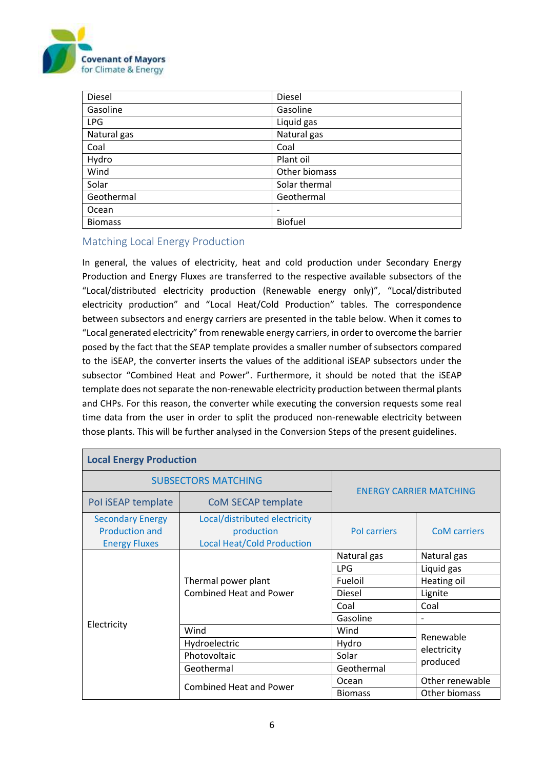

| Diesel         | <b>Diesel</b>            |
|----------------|--------------------------|
| Gasoline       | Gasoline                 |
| <b>LPG</b>     | Liquid gas               |
| Natural gas    | Natural gas              |
| Coal           | Coal                     |
| Hydro          | Plant oil                |
| Wind           | Other biomass            |
| Solar          | Solar thermal            |
| Geothermal     | Geothermal               |
| Ocean          | $\overline{\phantom{0}}$ |
| <b>Biomass</b> | <b>Biofuel</b>           |

### Matching Local Energy Production

In general, the values of electricity, heat and cold production under Secondary Energy Production and Energy Fluxes are transferred to the respective available subsectors of the "Local/distributed electricity production (Renewable energy only)", "Local/distributed electricity production" and "Local Heat/Cold Production" tables. The correspondence between subsectors and energy carriers are presented in the table below. When it comes to "Local generated electricity" from renewable energy carriers, in order to overcome the barrier posed by the fact that the SEAP template provides a smaller number of subsectors compared to the iSEAP, the converter inserts the values of the additional iSEAP subsectors under the subsector "Combined Heat and Power". Furthermore, it should be noted that the iSEAP template does not separate the non-renewable electricity production between thermal plants and CHPs. For this reason, the converter while executing the conversion requests some real time data from the user in order to split the produced non-renewable electricity between those plants. This will be further analysed in the Conversion Steps of the present guidelines.

| <b>Local Energy Production</b>                                           |                                                                                  |                                |                                      |
|--------------------------------------------------------------------------|----------------------------------------------------------------------------------|--------------------------------|--------------------------------------|
|                                                                          | <b>SUBSECTORS MATCHING</b>                                                       |                                |                                      |
| Pol iSEAP template                                                       | CoM SECAP template                                                               | <b>ENERGY CARRIER MATCHING</b> |                                      |
| <b>Secondary Energy</b><br><b>Production and</b><br><b>Energy Fluxes</b> | Local/distributed electricity<br>production<br><b>Local Heat/Cold Production</b> | <b>Pol carriers</b>            | <b>CoM</b> carriers                  |
|                                                                          | Thermal power plant<br><b>Combined Heat and Power</b>                            | Natural gas                    | Natural gas                          |
|                                                                          |                                                                                  | <b>LPG</b>                     | Liquid gas                           |
|                                                                          |                                                                                  | Fueloil                        | Heating oil                          |
|                                                                          |                                                                                  | Diesel                         | Lignite                              |
|                                                                          |                                                                                  | Coal                           | Coal                                 |
|                                                                          |                                                                                  | Gasoline                       |                                      |
| Electricity                                                              | Wind                                                                             | Wind                           |                                      |
|                                                                          | Hydroelectric                                                                    | Hydro                          | Renewable<br>electricity<br>produced |
|                                                                          | Photovoltaic                                                                     | Solar                          |                                      |
|                                                                          | Geothermal                                                                       | Geothermal                     |                                      |
|                                                                          | <b>Combined Heat and Power</b>                                                   | Ocean                          | Other renewable                      |
|                                                                          |                                                                                  | <b>Biomass</b>                 | Other biomass                        |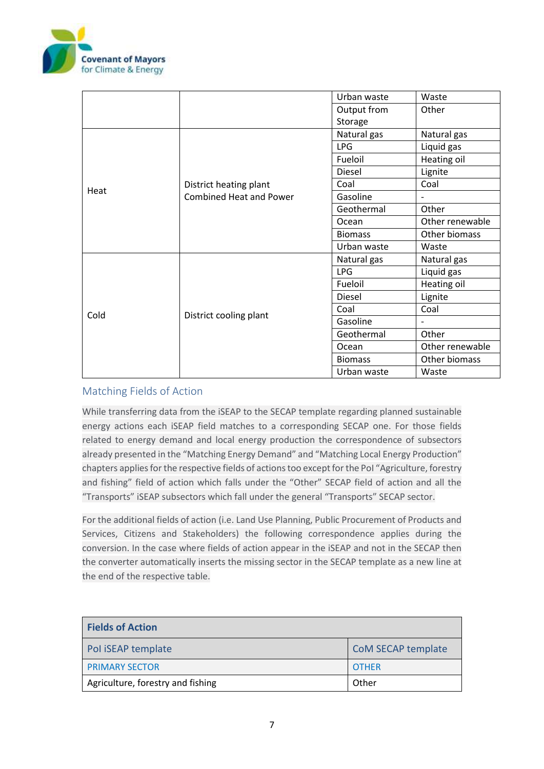

|      |                                | Urban waste    | Waste           |
|------|--------------------------------|----------------|-----------------|
|      |                                | Output from    | Other           |
|      |                                | Storage        |                 |
|      |                                | Natural gas    | Natural gas     |
|      |                                | <b>LPG</b>     | Liquid gas      |
|      |                                | Fueloil        | Heating oil     |
|      |                                | Diesel         | Lignite         |
|      | District heating plant         | Coal           | Coal            |
| Heat | <b>Combined Heat and Power</b> | Gasoline       |                 |
|      |                                | Geothermal     | Other           |
|      |                                | Ocean          | Other renewable |
|      |                                | <b>Biomass</b> | Other biomass   |
|      |                                | Urban waste    | Waste           |
|      | District cooling plant         | Natural gas    | Natural gas     |
|      |                                | <b>LPG</b>     | Liquid gas      |
|      |                                | Fueloil        | Heating oil     |
| Cold |                                | Diesel         | Lignite         |
|      |                                | Coal           | Coal            |
|      |                                | Gasoline       |                 |
|      |                                | Geothermal     | Other           |
|      |                                | Ocean          | Other renewable |
|      |                                | <b>Biomass</b> | Other biomass   |
|      |                                | Urban waste    | Waste           |

### Matching Fields of Action

While transferring data from the iSEAP to the SECAP template regarding planned sustainable energy actions each iSEAP field matches to a corresponding SECAP one. For those fields related to energy demand and local energy production the correspondence of subsectors already presented in the "Matching Energy Demand" and "Matching Local Energy Production" chapters applies for the respective fields of actions too except for the PoI "Agriculture, forestry and fishing" field of action which falls under the "Other" SECAP field of action and all the "Transports" iSEAP subsectors which fall under the general "Transports" SECAP sector.

For the additional fields of action (i.e. Land Use Planning, Public Procurement of Products and Services, Citizens and Stakeholders) the following correspondence applies during the conversion. In the case where fields of action appear in the iSEAP and not in the SECAP then the converter automatically inserts the missing sector in the SECAP template as a new line at the end of the respective table.

| <b>Fields of Action</b>           |                           |
|-----------------------------------|---------------------------|
| Pol iSEAP template                | <b>CoM SECAP template</b> |
| <b>PRIMARY SECTOR</b>             | <b>OTHER</b>              |
| Agriculture, forestry and fishing | Other                     |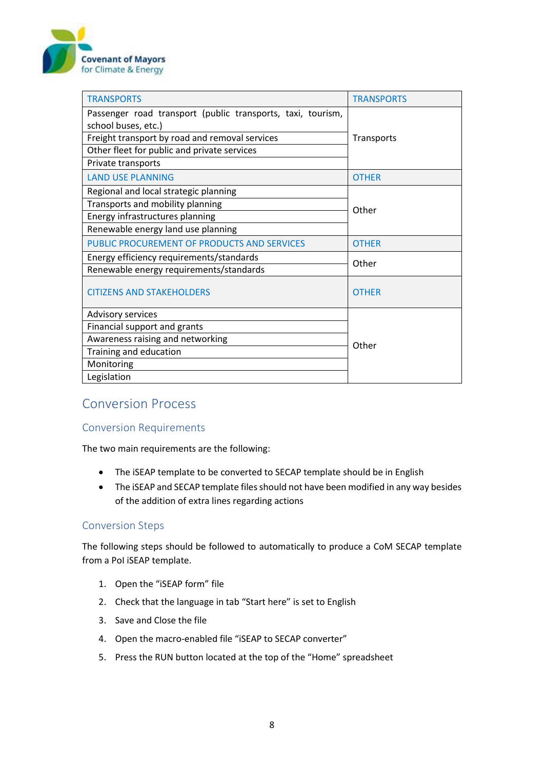

| <b>TRANSPORTS</b>                                           | <b>TRANSPORTS</b> |  |
|-------------------------------------------------------------|-------------------|--|
| Passenger road transport (public transports, taxi, tourism, |                   |  |
| school buses, etc.)                                         |                   |  |
| Freight transport by road and removal services              | Transports        |  |
| Other fleet for public and private services                 |                   |  |
| Private transports                                          |                   |  |
| <b>LAND USE PLANNING</b>                                    | <b>OTHER</b>      |  |
| Regional and local strategic planning                       | Other             |  |
| Transports and mobility planning                            |                   |  |
| Energy infrastructures planning                             |                   |  |
| Renewable energy land use planning                          |                   |  |
| PUBLIC PROCUREMENT OF PRODUCTS AND SERVICES                 | <b>OTHER</b>      |  |
| Energy efficiency requirements/standards                    | Other             |  |
| Renewable energy requirements/standards                     |                   |  |
| <b>CITIZENS AND STAKEHOLDERS</b>                            | <b>OTHER</b>      |  |
| <b>Advisory services</b>                                    |                   |  |
| Financial support and grants                                |                   |  |
| Awareness raising and networking                            | Other             |  |
| Training and education                                      |                   |  |
| Monitoring                                                  |                   |  |
| Legislation                                                 |                   |  |

# <span id="page-7-0"></span>Conversion Process

## <span id="page-7-1"></span>Conversion Requirements

The two main requirements are the following:

- The iSEAP template to be converted to SECAP template should be in English
- The iSEAP and SECAP template files should not have been modified in any way besides of the addition of extra lines regarding actions

### <span id="page-7-2"></span>Conversion Steps

The following steps should be followed to automatically to produce a CoM SECAP template from a PoI iSEAP template.

- 1. Open the "iSEAP form" file
- 2. Check that the language in tab "Start here" is set to English
- 3. Save and Close the file
- 4. Open the macro-enabled file "iSEAP to SECAP converter"
- 5. Press the RUN button located at the top of the "Home" spreadsheet